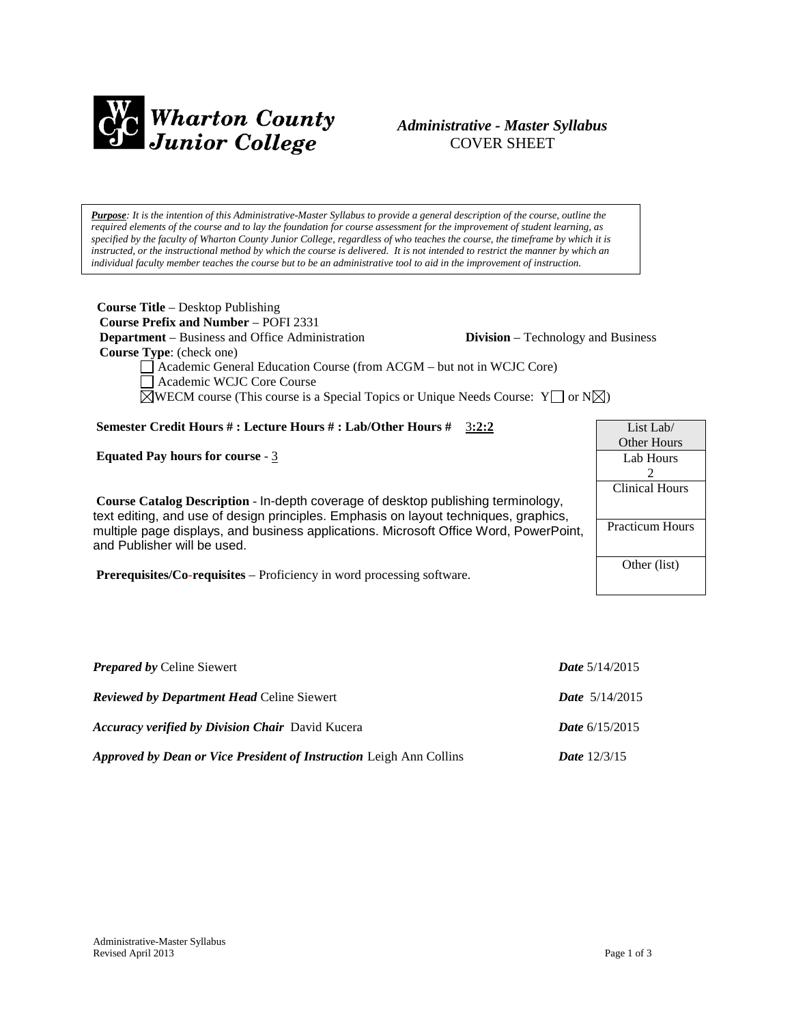

# *Administrative - Master Syllabus*  COVER SHEET

*Purpose: It is the intention of this Administrative-Master Syllabus to provide a general description of the course, outline the required elements of the course and to lay the foundation for course assessment for the improvement of student learning, as specified by the faculty of Wharton County Junior College, regardless of who teaches the course, the timeframe by which it is instructed, or the instructional method by which the course is delivered. It is not intended to restrict the manner by which an individual faculty member teaches the course but to be an administrative tool to aid in the improvement of instruction.*

| <b>Course Title</b> – Desktop Publishing                                                              |                                           |  |
|-------------------------------------------------------------------------------------------------------|-------------------------------------------|--|
| <b>Course Prefix and Number – POFI 2331</b>                                                           |                                           |  |
| <b>Department</b> – Business and Office Administration                                                | <b>Division</b> – Technology and Business |  |
| <b>Course Type:</b> (check one)                                                                       |                                           |  |
| Academic General Education Course (from ACGM – but not in WCJC Core)                                  |                                           |  |
| Academic WCJC Core Course                                                                             |                                           |  |
| $\boxtimes$ WECM course (This course is a Special Topics or Unique Needs Course: Y or N $\boxtimes$ ) |                                           |  |
|                                                                                                       |                                           |  |
| Semester Credit Hours # : Lecture Hours # : Lab/Other Hours #<br>3:2:2                                | List Lab/                                 |  |
|                                                                                                       | <b>Other Hours</b>                        |  |
| Equated Pay hours for course - $3$                                                                    | Lab Hours                                 |  |
|                                                                                                       | 2                                         |  |
|                                                                                                       | <b>Clinical Hours</b>                     |  |
| Course Catalog Description - In-depth coverage of desktop publishing terminology,                     |                                           |  |
| text editing, and use of design principles. Emphasis on layout techniques, graphics,                  |                                           |  |
| multiple page displays, and business applications. Microsoft Office Word, PowerPoint,                 | <b>Practicum Hours</b>                    |  |
| and Publisher will be used.                                                                           |                                           |  |
|                                                                                                       | Other (list)                              |  |
| <b>Prerequisites/Co-requisites</b> – Proficiency in word processing software.                         |                                           |  |

| <b>Prepared by Celine Siewert</b>                                   | <b>Date</b> $5/14/2015$ |
|---------------------------------------------------------------------|-------------------------|
| <b>Reviewed by Department Head Celine Siewert</b>                   | <i>Date</i> $5/14/2015$ |
| <b>Accuracy verified by Division Chair</b> David Kucera             | <b>Date</b> $6/15/2015$ |
| Approved by Dean or Vice President of Instruction Leigh Ann Collins | <b>Date</b> $12/3/15$   |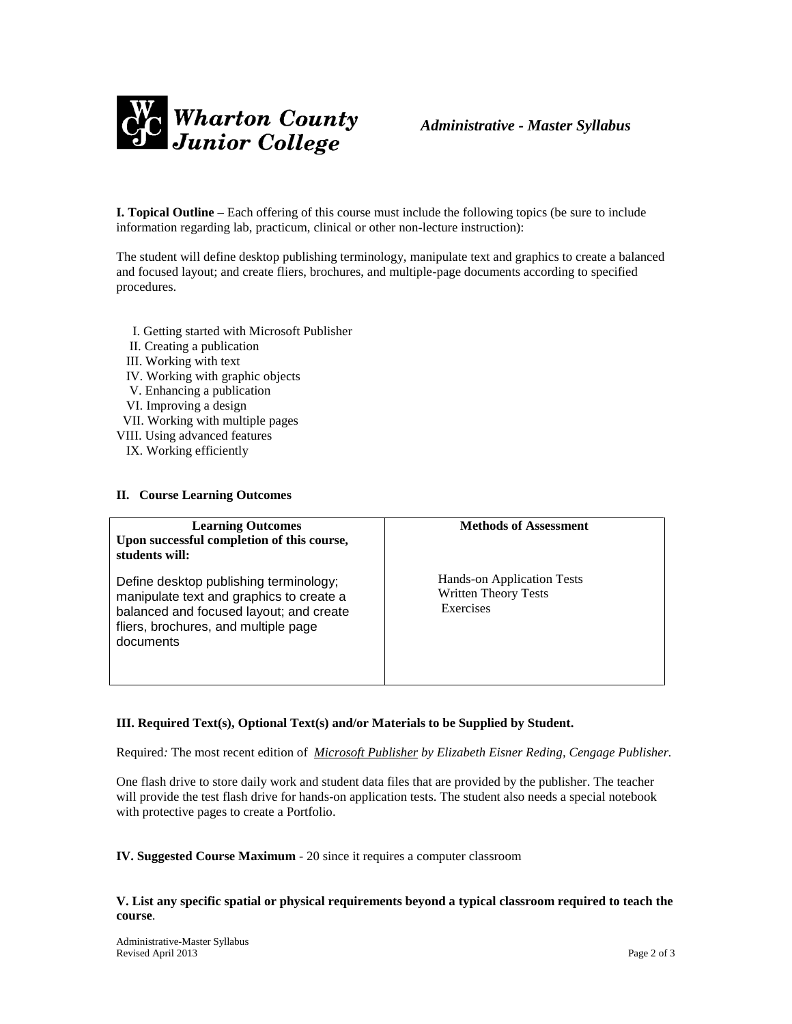

**I. Topical Outline** – Each offering of this course must include the following topics (be sure to include information regarding lab, practicum, clinical or other non-lecture instruction):

The student will define desktop publishing terminology, manipulate text and graphics to create a balanced and focused layout; and create fliers, brochures, and multiple-page documents according to specified procedures.

- I. Getting started with Microsoft Publisher
- II. Creating a publication
- III. Working with text
- IV. Working with graphic objects
- V. Enhancing a publication
- VI. Improving a design
- VII. Working with multiple pages
- VIII. Using advanced features
	- IX. Working efficiently

#### **II. Course Learning Outcomes**

| <b>Learning Outcomes</b><br>Upon successful completion of this course,<br>students will:                                                                                           | <b>Methods of Assessment</b>                                           |
|------------------------------------------------------------------------------------------------------------------------------------------------------------------------------------|------------------------------------------------------------------------|
| Define desktop publishing terminology;<br>manipulate text and graphics to create a<br>balanced and focused layout; and create<br>fliers, brochures, and multiple page<br>documents | Hands-on Application Tests<br><b>Written Theory Tests</b><br>Exercises |

# **III. Required Text(s), Optional Text(s) and/or Materials to be Supplied by Student.**

Required*:* The most recent edition of *Microsoft Publisher by Elizabeth Eisner Reding, Cengage Publisher.*

One flash drive to store daily work and student data files that are provided by the publisher. The teacher will provide the test flash drive for hands-on application tests. The student also needs a special notebook with protective pages to create a Portfolio.

**IV. Suggested Course Maximum** - 20 since it requires a computer classroom

#### **V. List any specific spatial or physical requirements beyond a typical classroom required to teach the course**.